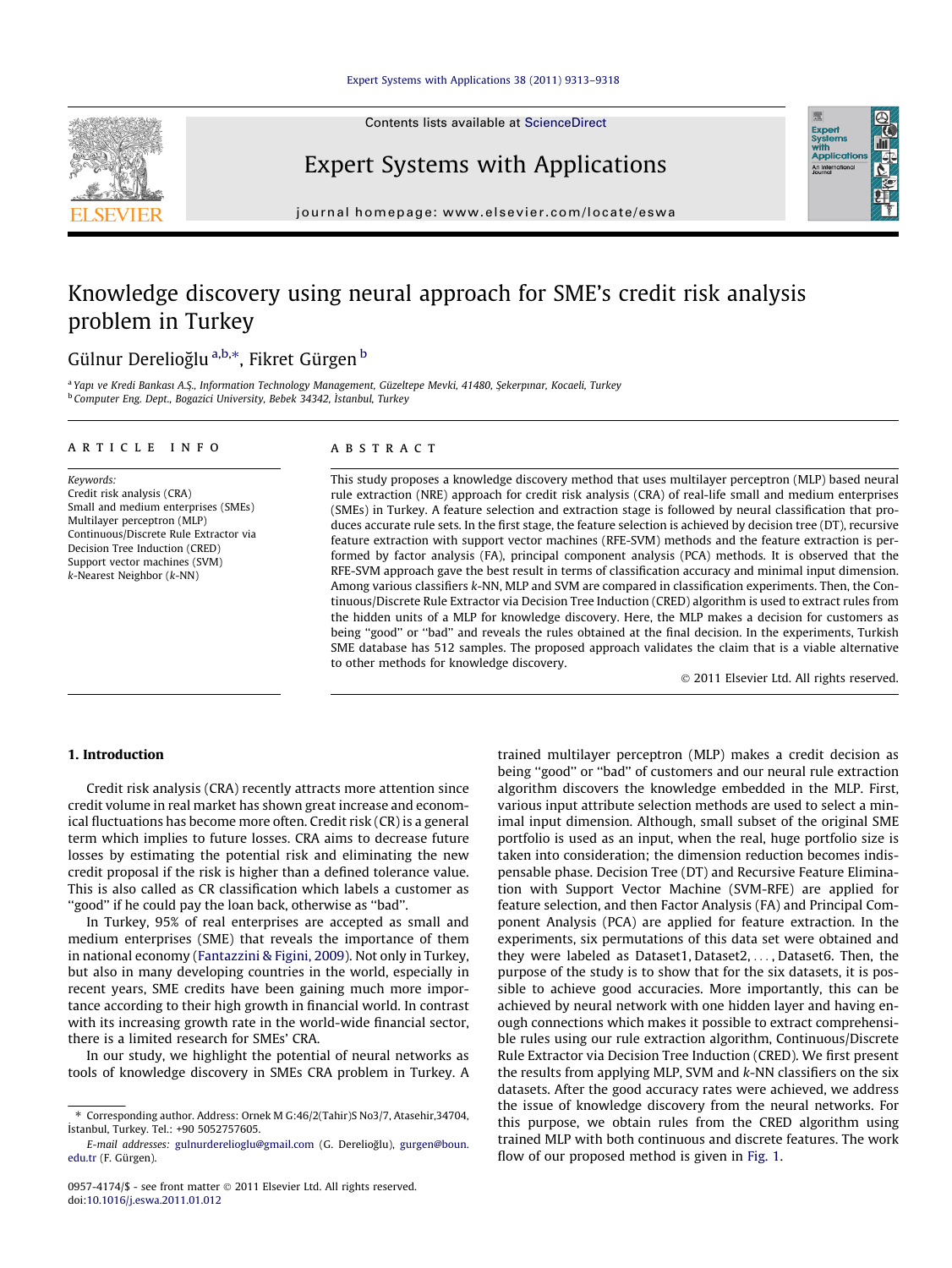

Contents lists available at [ScienceDirect](http://www.sciencedirect.com/science/journal/09574174)

# Expert Systems with Applications

journal homepage: [www.elsevier.com/locate/eswa](http://www.elsevier.com/locate/eswa)

# Knowledge discovery using neural approach for SME's credit risk analysis problem in Turkey

# Gülnur Derelioğlu <sup>a,b,</sup>\*, Fikret Gürgen <sup>b</sup>

<sup>a</sup> Yapı ve Kredi Bankası A.Ş., Information Technology Management, Güzeltepe Mevki, 41480, Şekerpınar, Kocaeli, Turkey <sup>b</sup> Computer Eng. Dept., Bogazici University, Bebek 34342, İstanbul, Turkey

# article info

Keywords: Credit risk analysis (CRA) Small and medium enterprises (SMEs) Multilayer perceptron (MLP) Continuous/Discrete Rule Extractor via Decision Tree Induction (CRED) Support vector machines (SVM) k-Nearest Neighbor (k-NN)

# ABSTRACT

This study proposes a knowledge discovery method that uses multilayer perceptron (MLP) based neural rule extraction (NRE) approach for credit risk analysis (CRA) of real-life small and medium enterprises (SMEs) in Turkey. A feature selection and extraction stage is followed by neural classification that produces accurate rule sets. In the first stage, the feature selection is achieved by decision tree (DT), recursive feature extraction with support vector machines (RFE-SVM) methods and the feature extraction is performed by factor analysis (FA), principal component analysis (PCA) methods. It is observed that the RFE-SVM approach gave the best result in terms of classification accuracy and minimal input dimension. Among various classifiers k-NN, MLP and SVM are compared in classification experiments. Then, the Continuous/Discrete Rule Extractor via Decision Tree Induction (CRED) algorithm is used to extract rules from the hidden units of a MLP for knowledge discovery. Here, the MLP makes a decision for customers as being ''good'' or ''bad'' and reveals the rules obtained at the final decision. In the experiments, Turkish SME database has 512 samples. The proposed approach validates the claim that is a viable alternative to other methods for knowledge discovery.

- 2011 Elsevier Ltd. All rights reserved.

Expert<br>Systems<br>with<br>Applicati

# 1. Introduction

Credit risk analysis (CRA) recently attracts more attention since credit volume in real market has shown great increase and economical fluctuations has become more often. Credit risk (CR) is a general term which implies to future losses. CRA aims to decrease future losses by estimating the potential risk and eliminating the new credit proposal if the risk is higher than a defined tolerance value. This is also called as CR classification which labels a customer as ''good'' if he could pay the loan back, otherwise as ''bad''.

In Turkey, 95% of real enterprises are accepted as small and medium enterprises (SME) that reveals the importance of them in national economy ([Fantazzini & Figini, 2009\)](#page--1-0). Not only in Turkey, but also in many developing countries in the world, especially in recent years, SME credits have been gaining much more importance according to their high growth in financial world. In contrast with its increasing growth rate in the world-wide financial sector, there is a limited research for SMEs' CRA.

In our study, we highlight the potential of neural networks as tools of knowledge discovery in SMEs CRA problem in Turkey. A trained multilayer perceptron (MLP) makes a credit decision as being ''good'' or ''bad'' of customers and our neural rule extraction algorithm discovers the knowledge embedded in the MLP. First, various input attribute selection methods are used to select a minimal input dimension. Although, small subset of the original SME portfolio is used as an input, when the real, huge portfolio size is taken into consideration; the dimension reduction becomes indispensable phase. Decision Tree (DT) and Recursive Feature Elimination with Support Vector Machine (SVM-RFE) are applied for feature selection, and then Factor Analysis (FA) and Principal Component Analysis (PCA) are applied for feature extraction. In the experiments, six permutations of this data set were obtained and they were labeled as Dataset1, Dataset2, ... , Dataset6. Then, the purpose of the study is to show that for the six datasets, it is possible to achieve good accuracies. More importantly, this can be achieved by neural network with one hidden layer and having enough connections which makes it possible to extract comprehensible rules using our rule extraction algorithm, Continuous/Discrete Rule Extractor via Decision Tree Induction (CRED). We first present the results from applying MLP, SVM and k-NN classifiers on the six datasets. After the good accuracy rates were achieved, we address the issue of knowledge discovery from the neural networks. For this purpose, we obtain rules from the CRED algorithm using trained MLP with both continuous and discrete features. The work flow of our proposed method is given in [Fig. 1](#page-1-0).

<sup>⇑</sup> Corresponding author. Address: Ornek M G:46/2(Tahir)S No3/7, Atasehir,34704, \_ Istanbul, Turkey. Tel.: +90 5052757605.

E-mail addresses: [gulnurderelioglu@gmail.com](mailto:gulnurderelioglu@gmail.com) (G. Derelioğlu), [gurgen@boun.](mailto:gurgen@boun.edu.tr) [edu.tr](mailto:gurgen@boun.edu.tr) (F. Gürgen).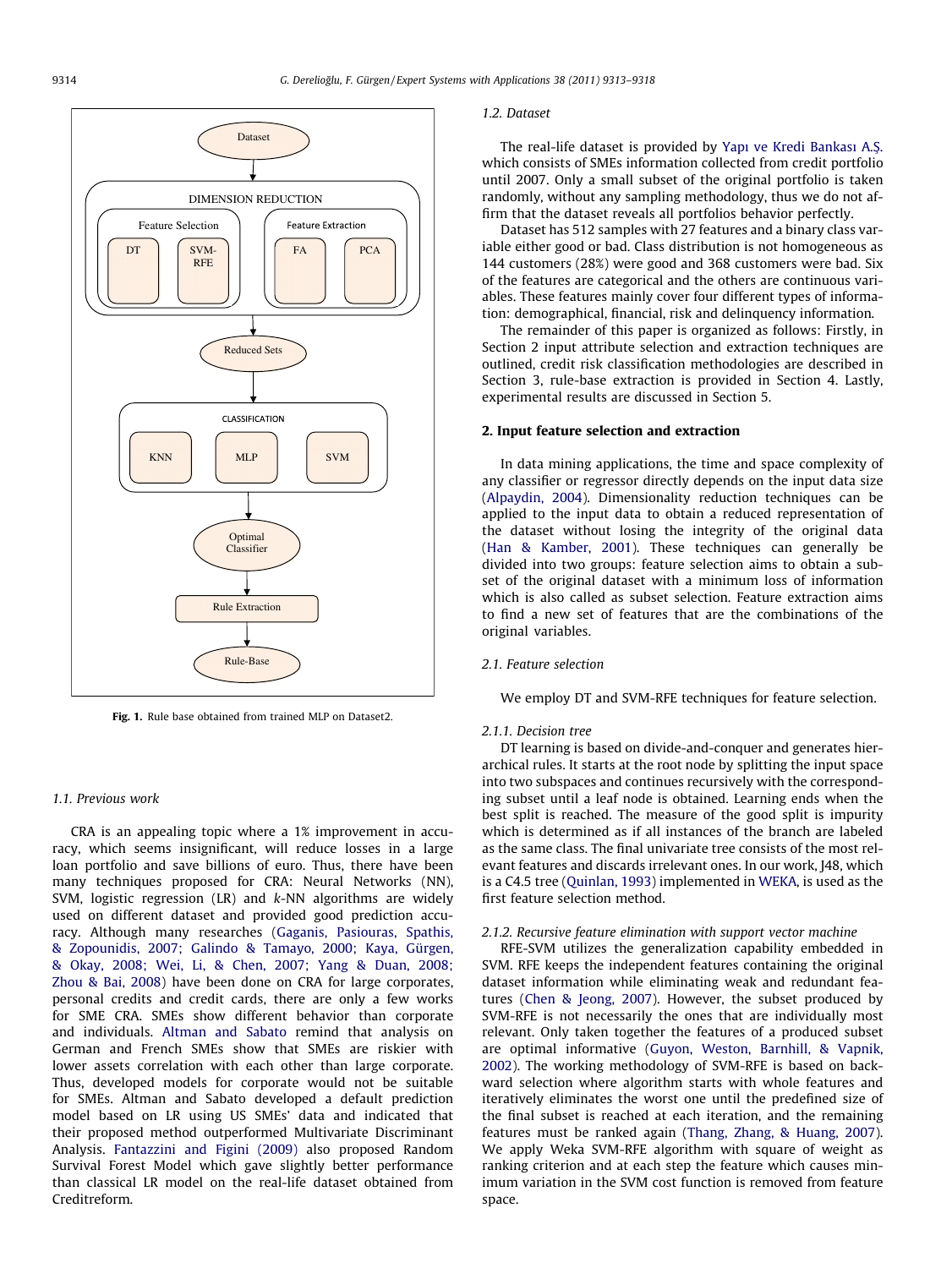<span id="page-1-0"></span>

Fig. 1. Rule base obtained from trained MLP on Dataset2.

### 1.1. Previous work

CRA is an appealing topic where a 1% improvement in accuracy, which seems insignificant, will reduce losses in a large loan portfolio and save billions of euro. Thus, there have been many techniques proposed for CRA: Neural Networks (NN), SVM, logistic regression (LR) and k-NN algorithms are widely used on different dataset and provided good prediction accuracy. Although many researches [\(Gaganis, Pasiouras, Spathis,](#page--1-0) [& Zopounidis, 2007; Galindo & Tamayo, 2000; Kaya, Gürgen,](#page--1-0) [& Okay, 2008; Wei, Li, & Chen, 2007; Yang & Duan, 2008;](#page--1-0) [Zhou & Bai, 2008\)](#page--1-0) have been done on CRA for large corporates, personal credits and credit cards, there are only a few works for SME CRA. SMEs show different behavior than corporate and individuals. [Altman and Sabato](#page--1-0) remind that analysis on German and French SMEs show that SMEs are riskier with lower assets correlation with each other than large corporate. Thus, developed models for corporate would not be suitable for SMEs. Altman and Sabato developed a default prediction model based on LR using US SMEs' data and indicated that their proposed method outperformed Multivariate Discriminant Analysis. [Fantazzini and Figini \(2009\)](#page--1-0) also proposed Random Survival Forest Model which gave slightly better performance than classical LR model on the real-life dataset obtained from Creditreform.

#### 1.2. Dataset

The real-life dataset is provided by [Yap](#page--1-0)ı [ve Kredi Bankası A.S](#page--1-0)-[.](#page--1-0) which consists of SMEs information collected from credit portfolio until 2007. Only a small subset of the original portfolio is taken randomly, without any sampling methodology, thus we do not affirm that the dataset reveals all portfolios behavior perfectly.

Dataset has 512 samples with 27 features and a binary class variable either good or bad. Class distribution is not homogeneous as 144 customers (28%) were good and 368 customers were bad. Six of the features are categorical and the others are continuous variables. These features mainly cover four different types of information: demographical, financial, risk and delinquency information.

The remainder of this paper is organized as follows: Firstly, in Section 2 input attribute selection and extraction techniques are outlined, credit risk classification methodologies are described in Section 3, rule-base extraction is provided in Section 4. Lastly, experimental results are discussed in Section 5.

### 2. Input feature selection and extraction

In data mining applications, the time and space complexity of any classifier or regressor directly depends on the input data size ([Alpaydin, 2004](#page--1-0)). Dimensionality reduction techniques can be applied to the input data to obtain a reduced representation of the dataset without losing the integrity of the original data ([Han & Kamber, 2001](#page--1-0)). These techniques can generally be divided into two groups: feature selection aims to obtain a subset of the original dataset with a minimum loss of information which is also called as subset selection. Feature extraction aims to find a new set of features that are the combinations of the original variables.

# 2.1. Feature selection

We employ DT and SVM-RFE techniques for feature selection.

#### 2.1.1. Decision tree

DT learning is based on divide-and-conquer and generates hierarchical rules. It starts at the root node by splitting the input space into two subspaces and continues recursively with the corresponding subset until a leaf node is obtained. Learning ends when the best split is reached. The measure of the good split is impurity which is determined as if all instances of the branch are labeled as the same class. The final univariate tree consists of the most relevant features and discards irrelevant ones. In our work, J48, which is a C4.5 tree ([Quinlan, 1993\)](#page--1-0) implemented in [WEKA,](#page--1-0) is used as the first feature selection method.

# 2.1.2. Recursive feature elimination with support vector machine

RFE-SVM utilizes the generalization capability embedded in SVM. RFE keeps the independent features containing the original dataset information while eliminating weak and redundant features [\(Chen & Jeong, 2007](#page--1-0)). However, the subset produced by SVM-RFE is not necessarily the ones that are individually most relevant. Only taken together the features of a produced subset are optimal informative ([Guyon, Weston, Barnhill, & Vapnik,](#page--1-0) [2002\)](#page--1-0). The working methodology of SVM-RFE is based on backward selection where algorithm starts with whole features and iteratively eliminates the worst one until the predefined size of the final subset is reached at each iteration, and the remaining features must be ranked again [\(Thang, Zhang, & Huang, 2007\)](#page--1-0). We apply Weka SVM-RFE algorithm with square of weight as ranking criterion and at each step the feature which causes minimum variation in the SVM cost function is removed from feature space.